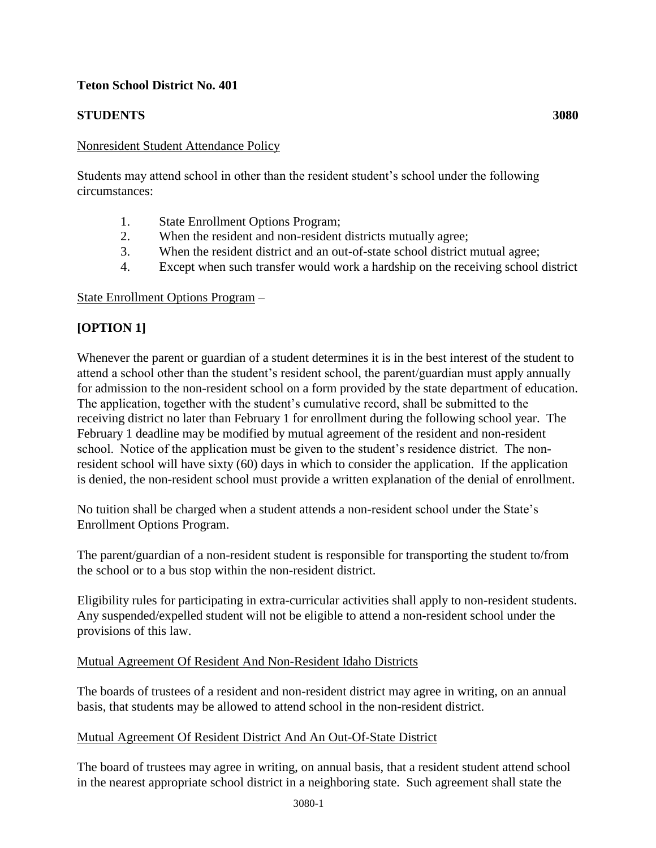### **Teton School District No. 401**

# **STUDENTS 3080**

### Nonresident Student Attendance Policy

Students may attend school in other than the resident student's school under the following circumstances:

- 1. State Enrollment Options Program;
- 2. When the resident and non-resident districts mutually agree;
- 3. When the resident district and an out-of-state school district mutual agree;
- 4. Except when such transfer would work a hardship on the receiving school district

### State Enrollment Options Program –

# **[OPTION 1]**

Whenever the parent or guardian of a student determines it is in the best interest of the student to attend a school other than the student's resident school, the parent/guardian must apply annually for admission to the non-resident school on a form provided by the state department of education. The application, together with the student's cumulative record, shall be submitted to the receiving district no later than February 1 for enrollment during the following school year. The February 1 deadline may be modified by mutual agreement of the resident and non-resident school. Notice of the application must be given to the student's residence district. The nonresident school will have sixty (60) days in which to consider the application. If the application is denied, the non-resident school must provide a written explanation of the denial of enrollment.

No tuition shall be charged when a student attends a non-resident school under the State's Enrollment Options Program.

The parent/guardian of a non-resident student is responsible for transporting the student to/from the school or to a bus stop within the non-resident district.

Eligibility rules for participating in extra-curricular activities shall apply to non-resident students. Any suspended/expelled student will not be eligible to attend a non-resident school under the provisions of this law.

### Mutual Agreement Of Resident And Non-Resident Idaho Districts

The boards of trustees of a resident and non-resident district may agree in writing, on an annual basis, that students may be allowed to attend school in the non-resident district.

### Mutual Agreement Of Resident District And An Out-Of-State District

The board of trustees may agree in writing, on annual basis, that a resident student attend school in the nearest appropriate school district in a neighboring state. Such agreement shall state the